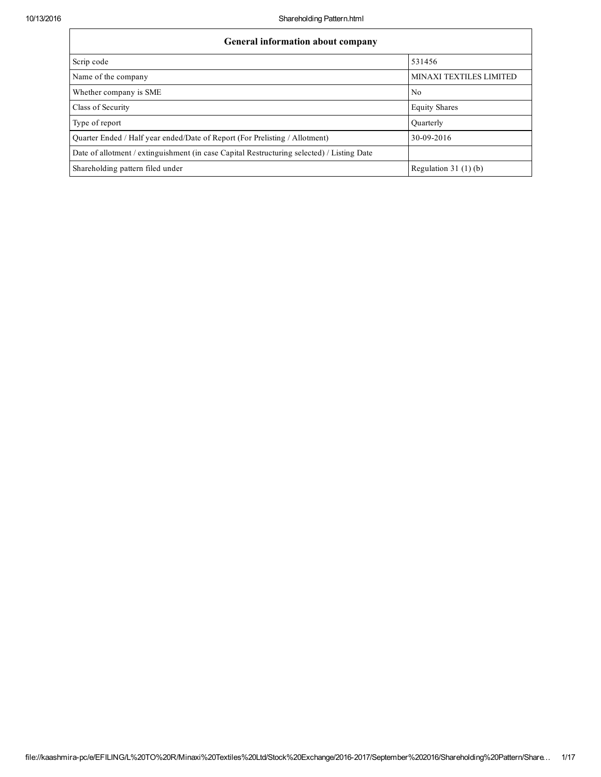| <b>General information about company</b>                                                   |                         |  |  |  |  |  |  |  |
|--------------------------------------------------------------------------------------------|-------------------------|--|--|--|--|--|--|--|
| Scrip code                                                                                 | 531456                  |  |  |  |  |  |  |  |
| Name of the company                                                                        | MINAXI TEXTILES LIMITED |  |  |  |  |  |  |  |
| Whether company is SME                                                                     | N <sub>0</sub>          |  |  |  |  |  |  |  |
| Class of Security                                                                          | <b>Equity Shares</b>    |  |  |  |  |  |  |  |
| Type of report                                                                             | <b>Quarterly</b>        |  |  |  |  |  |  |  |
| Ouarter Ended / Half year ended/Date of Report (For Prelisting / Allotment)                | 30-09-2016              |  |  |  |  |  |  |  |
| Date of allotment / extinguishment (in case Capital Restructuring selected) / Listing Date |                         |  |  |  |  |  |  |  |
| Shareholding pattern filed under                                                           | Regulation 31 $(1)(b)$  |  |  |  |  |  |  |  |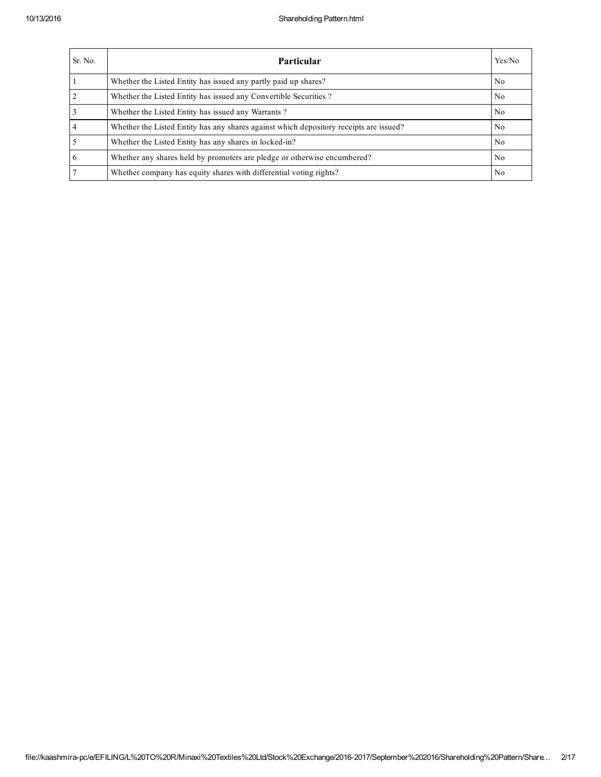| Sr. No.        | <b>Particular</b>                                                                      | Yes/No         |
|----------------|----------------------------------------------------------------------------------------|----------------|
|                | Whether the Listed Entity has issued any partly paid up shares?                        | N <sub>0</sub> |
| $\overline{2}$ | Whether the Listed Entity has issued any Convertible Securities?                       | No             |
| $\overline{3}$ | Whether the Listed Entity has issued any Warrants?                                     | N <sub>0</sub> |
| $\overline{4}$ | Whether the Listed Entity has any shares against which depository receipts are issued? | N <sub>0</sub> |
| $\overline{5}$ | Whether the Listed Entity has any shares in locked-in?                                 | N <sub>0</sub> |
| $\overline{6}$ | Whether any shares held by promoters are pledge or otherwise encumbered?               | No.            |
| $\overline{7}$ | Whether company has equity shares with differential voting rights?                     | No             |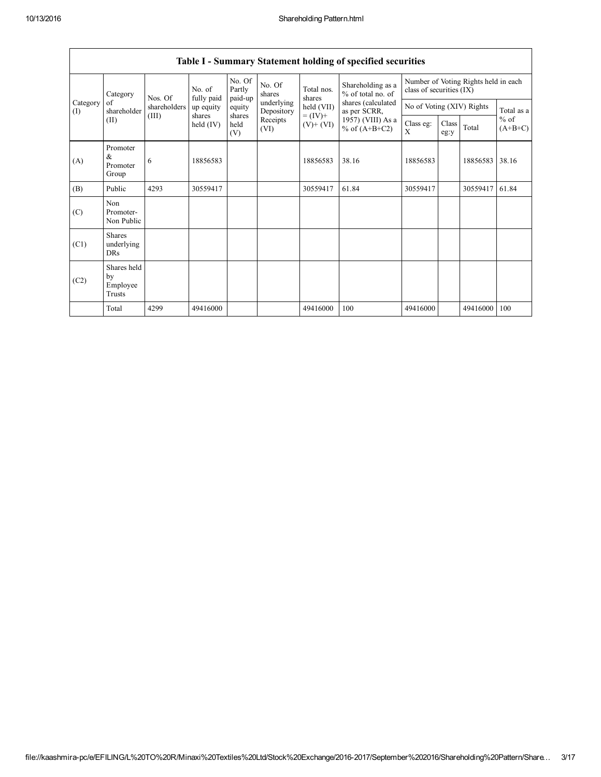| Category<br>of<br>(I)<br>(II) | Category                                  | Nos. Of      | No. of<br>fully paid  | No. Of<br>Partly<br>paid-up | No. Of<br>shares         | Total nos.<br>shares     | Shareholding as a<br>% of total no. of<br>shares (calculated<br>as per SCRR,<br>1957) (VIII) As a<br>% of $(A+B+C2)$ | class of securities (IX)  |               | Number of Voting Rights held in each |                     |
|-------------------------------|-------------------------------------------|--------------|-----------------------|-----------------------------|--------------------------|--------------------------|----------------------------------------------------------------------------------------------------------------------|---------------------------|---------------|--------------------------------------|---------------------|
|                               | shareholder                               | shareholders | up equity             | equity                      | underlying<br>Depository | held (VII)               |                                                                                                                      | No of Voting (XIV) Rights |               |                                      | Total as a          |
|                               |                                           | (III)        | shares<br>held $(IV)$ | shares<br>held<br>(V)       | Receipts<br>(VI)         | $= (IV) +$<br>$(V)+(VI)$ |                                                                                                                      | Class eg:<br>X            | Class<br>eg:y | Total                                | $%$ of<br>$(A+B+C)$ |
| (A)                           | Promoter<br>$\alpha$<br>Promoter<br>Group | 6            | 18856583              |                             |                          | 18856583                 | 38.16                                                                                                                | 18856583                  |               | 18856583                             | 38.16               |
| (B)                           | Public                                    | 4293         | 30559417              |                             |                          | 30559417                 | 61.84                                                                                                                | 30559417                  |               | 30559417                             | 61.84               |
| (C)                           | Non<br>Promoter-<br>Non Public            |              |                       |                             |                          |                          |                                                                                                                      |                           |               |                                      |                     |
| (C1)                          | <b>Shares</b><br>underlying<br>DRs        |              |                       |                             |                          |                          |                                                                                                                      |                           |               |                                      |                     |
| (C2)                          | Shares held<br>by<br>Employee<br>Trusts   |              |                       |                             |                          |                          |                                                                                                                      |                           |               |                                      |                     |
|                               | Total                                     | 4299         | 49416000              |                             |                          | 49416000                 | 100                                                                                                                  | 49416000                  |               | 49416000                             | 100                 |

## Table I - Summary Statement holding of specified securities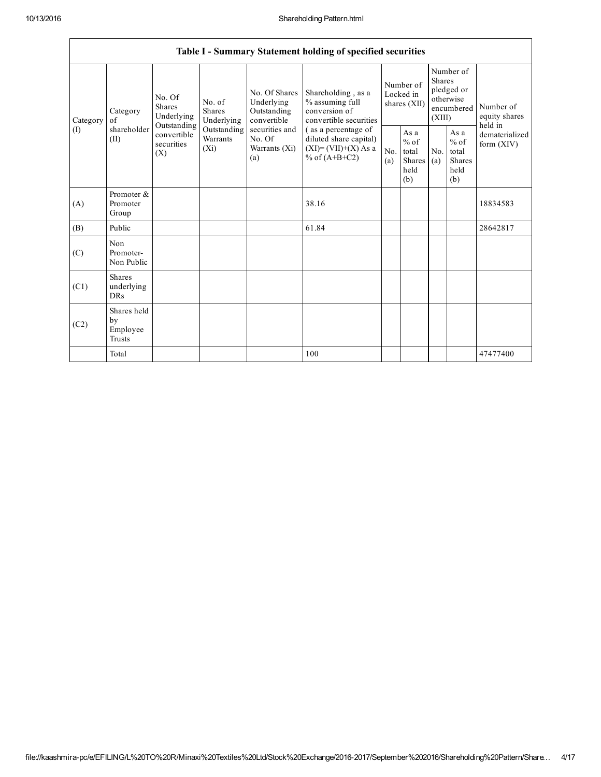$\mathsf{r}$ 

|                 |                                              |                                       |                                                                                            |                                                                                                               | Table I - Summary Statement holding of specified securities                                                                                                                   |                                        |                                                         |                                                                               |                                                         |                                       |
|-----------------|----------------------------------------------|---------------------------------------|--------------------------------------------------------------------------------------------|---------------------------------------------------------------------------------------------------------------|-------------------------------------------------------------------------------------------------------------------------------------------------------------------------------|----------------------------------------|---------------------------------------------------------|-------------------------------------------------------------------------------|---------------------------------------------------------|---------------------------------------|
| Category<br>(I) | Category<br>of<br>shareholder<br>(II)<br>(X) | No. Of<br><b>Shares</b><br>Underlying | No. of<br><b>Shares</b><br>Underlying<br>Outstanding<br>Outstanding<br>Warrants<br>$(X_i)$ | No. Of Shares<br>Underlying<br>Outstanding<br>convertible<br>securities and<br>No. Of<br>Warrants (Xi)<br>(a) | Shareholding, as a<br>% assuming full<br>conversion of<br>convertible securities<br>(as a percentage of<br>diluted share capital)<br>$(XI)=(VII)+(X) As a$<br>% of $(A+B+C2)$ | Number of<br>Locked in<br>shares (XII) |                                                         | Number of<br><b>Shares</b><br>pledged or<br>otherwise<br>encumbered<br>(XIII) |                                                         | Number of<br>equity shares<br>held in |
|                 |                                              | convertible<br>securities             |                                                                                            |                                                                                                               |                                                                                                                                                                               | No.<br>(a)                             | As a<br>$%$ of<br>total<br><b>Shares</b><br>held<br>(b) | No.<br>(a)                                                                    | As a<br>$%$ of<br>total<br><b>Shares</b><br>held<br>(b) | dematerialized<br>form $(XIV)$        |
| (A)             | Promoter &<br>Promoter<br>Group              |                                       |                                                                                            |                                                                                                               | 38.16                                                                                                                                                                         |                                        |                                                         |                                                                               |                                                         | 18834583                              |
| (B)             | Public                                       |                                       |                                                                                            |                                                                                                               | 61.84                                                                                                                                                                         |                                        |                                                         |                                                                               |                                                         | 28642817                              |
| (C)             | Non<br>Promoter-<br>Non Public               |                                       |                                                                                            |                                                                                                               |                                                                                                                                                                               |                                        |                                                         |                                                                               |                                                         |                                       |
| (C1)            | <b>Shares</b><br>underlying<br>DRs           |                                       |                                                                                            |                                                                                                               |                                                                                                                                                                               |                                        |                                                         |                                                                               |                                                         |                                       |
| (C2)            | Shares held<br>by<br>Employee<br>Trusts      |                                       |                                                                                            |                                                                                                               |                                                                                                                                                                               |                                        |                                                         |                                                                               |                                                         |                                       |
|                 | Total                                        |                                       |                                                                                            |                                                                                                               | 100                                                                                                                                                                           |                                        |                                                         |                                                                               |                                                         | 47477400                              |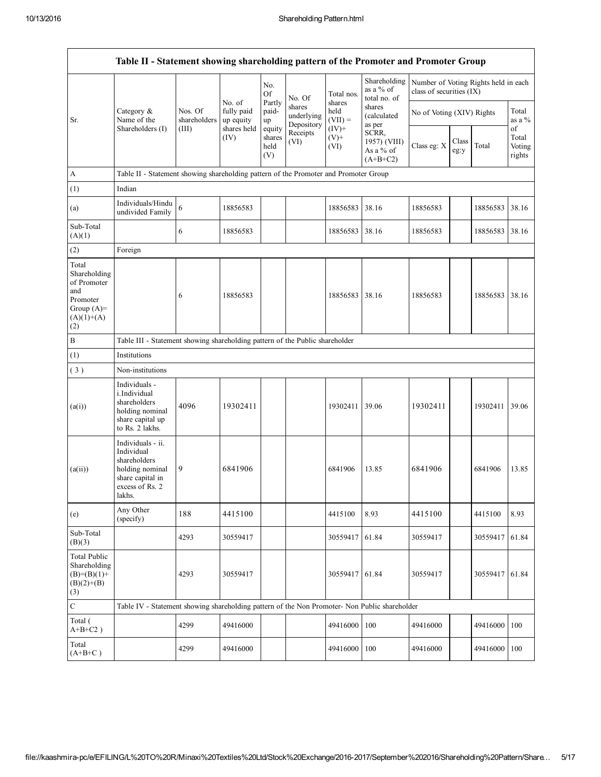|                                                                                                | Table II - Statement showing shareholding pattern of the Promoter and Promoter Group                                |                                                                              |                                                  |                                 |                                    |                                        |                                                  |                                                                  |               |          |                           |
|------------------------------------------------------------------------------------------------|---------------------------------------------------------------------------------------------------------------------|------------------------------------------------------------------------------|--------------------------------------------------|---------------------------------|------------------------------------|----------------------------------------|--------------------------------------------------|------------------------------------------------------------------|---------------|----------|---------------------------|
|                                                                                                |                                                                                                                     |                                                                              |                                                  | No.<br>Of                       | No. Of                             | Total nos.                             | Shareholding<br>as a % of<br>total no. of        | Number of Voting Rights held in each<br>class of securities (IX) |               |          |                           |
| Sr.                                                                                            | Category &<br>Name of the<br>Shareholders (I)                                                                       | Nos. Of<br>shareholders<br>(III)                                             | No. of<br>fully paid<br>up equity<br>shares held | Partly<br>paid-<br>up<br>equity | shares<br>underlying<br>Depository | shares<br>held<br>$(VII) =$<br>$(IV)+$ | shares<br>(calculated<br>as per                  | No of Voting (XIV) Rights                                        |               |          | Total<br>as a %<br>of     |
|                                                                                                |                                                                                                                     |                                                                              | (IV)                                             | shares<br>held<br>(V)           | Receipts<br>(VI)                   | $(V)$ +<br>(VI)                        | SCRR,<br>1957) (VIII)<br>As a % of<br>$(A+B+C2)$ | Class eg: X                                                      | Class<br>eg:y | Total    | Total<br>Voting<br>rights |
| $\boldsymbol{\mathsf{A}}$                                                                      | Table II - Statement showing shareholding pattern of the Promoter and Promoter Group                                |                                                                              |                                                  |                                 |                                    |                                        |                                                  |                                                                  |               |          |                           |
| (1)                                                                                            | Indian                                                                                                              |                                                                              |                                                  |                                 |                                    |                                        |                                                  |                                                                  |               |          |                           |
| (a)                                                                                            | Individuals/Hindu<br>undivided Family                                                                               | 6                                                                            | 18856583                                         |                                 |                                    | 18856583                               | 38.16                                            | 18856583                                                         |               | 18856583 | 38.16                     |
| Sub-Total<br>(A)(1)                                                                            |                                                                                                                     | 6                                                                            | 18856583                                         |                                 |                                    | 18856583                               | 38.16                                            | 18856583                                                         |               | 18856583 | 38.16                     |
| (2)                                                                                            | Foreign                                                                                                             |                                                                              |                                                  |                                 |                                    |                                        |                                                  |                                                                  |               |          |                           |
| Total<br>Shareholding<br>of Promoter<br>and<br>Promoter<br>Group $(A)=$<br>$(A)(1)+(A)$<br>(2) |                                                                                                                     | 6                                                                            | 18856583                                         |                                 |                                    | 18856583                               | 38.16                                            | 18856583                                                         |               | 18856583 | 38.16                     |
| B                                                                                              |                                                                                                                     | Table III - Statement showing shareholding pattern of the Public shareholder |                                                  |                                 |                                    |                                        |                                                  |                                                                  |               |          |                           |
| (1)                                                                                            | Institutions                                                                                                        |                                                                              |                                                  |                                 |                                    |                                        |                                                  |                                                                  |               |          |                           |
| (3)                                                                                            | Non-institutions                                                                                                    |                                                                              |                                                  |                                 |                                    |                                        |                                                  |                                                                  |               |          |                           |
| (a(i))                                                                                         | Individuals -<br>i.Individual<br>shareholders<br>holding nominal<br>share capital up<br>to Rs. 2 lakhs.             | 4096                                                                         | 19302411                                         |                                 |                                    | 19302411                               | 39.06                                            | 19302411                                                         |               | 19302411 | 39.06                     |
| (a(ii))                                                                                        | Individuals - ii.<br>Individual<br>shareholders<br>holding nominal<br>share capital in<br>excess of Rs. 2<br>lakhs. | 9                                                                            | 6841906                                          |                                 |                                    | 6841906                                | 13.85                                            | 6841906                                                          |               | 6841906  | 13.85                     |
| (e)                                                                                            | Any Other<br>(specify)                                                                                              | 188                                                                          | 4415100                                          |                                 |                                    | 4415100                                | 8.93                                             | 4415100                                                          |               | 4415100  | 8.93                      |
| Sub-Total<br>(B)(3)                                                                            |                                                                                                                     | 4293                                                                         | 30559417                                         |                                 |                                    | 30559417                               | 61.84                                            | 30559417                                                         |               | 30559417 | 61.84                     |
| Total Public<br>Shareholding<br>$(B)=(B)(1)+$<br>$(B)(2)+(B)$<br>(3)                           |                                                                                                                     | 4293                                                                         | 30559417                                         |                                 |                                    | 30559417                               | 61.84                                            | 30559417                                                         |               | 30559417 | 61.84                     |
| $\mathbf C$                                                                                    | Table IV - Statement showing shareholding pattern of the Non Promoter- Non Public shareholder                       |                                                                              |                                                  |                                 |                                    |                                        |                                                  |                                                                  |               |          |                           |
| Total (<br>$A+B+C2$ )                                                                          |                                                                                                                     | 4299                                                                         | 49416000                                         |                                 |                                    | 49416000                               | 100                                              | 49416000                                                         |               | 49416000 | 100                       |
| Total<br>$(A+B+C)$                                                                             |                                                                                                                     | 4299                                                                         | 49416000                                         |                                 |                                    | 49416000                               | 100                                              | 49416000                                                         |               | 49416000 | 100                       |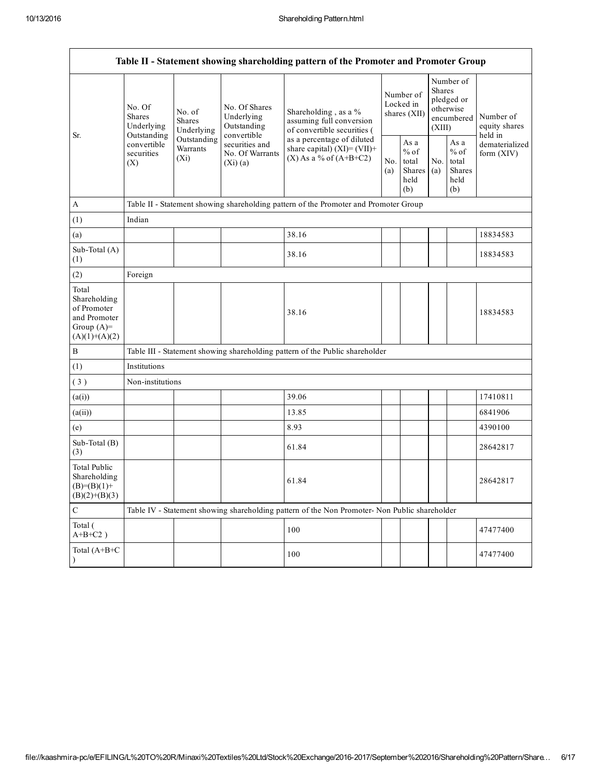| Table II - Statement showing shareholding pattern of the Promoter and Promoter Group    |                                                                                                                                                                         |                                                           |                                                                                 |                                                                                               |                                        |                                                  |                                                                               |                                                         |                                |
|-----------------------------------------------------------------------------------------|-------------------------------------------------------------------------------------------------------------------------------------------------------------------------|-----------------------------------------------------------|---------------------------------------------------------------------------------|-----------------------------------------------------------------------------------------------|----------------------------------------|--------------------------------------------------|-------------------------------------------------------------------------------|---------------------------------------------------------|--------------------------------|
| Sr.                                                                                     | No. Of<br>No. of<br><b>Shares</b><br><b>Shares</b><br>Underlying<br>Underlying<br>Outstanding<br>Outstanding<br>convertible<br>Warrants<br>securities<br>$(X_i)$<br>(X) | No. Of Shares<br>Underlying<br>Outstanding<br>convertible | Shareholding, as a %<br>assuming full conversion<br>of convertible securities ( |                                                                                               | Number of<br>Locked in<br>shares (XII) |                                                  | Number of<br><b>Shares</b><br>pledged or<br>otherwise<br>encumbered<br>(XIII) | Number of<br>equity shares<br>held in                   |                                |
|                                                                                         |                                                                                                                                                                         |                                                           | securities and<br>No. Of Warrants<br>(Xi)(a)                                    | as a percentage of diluted<br>share capital) $(XI) = (VII) +$<br>$(X)$ As a % of $(A+B+C2)$   |                                        | As a<br>$%$ of<br>total<br>Shares<br>held<br>(b) | No.<br>(a)                                                                    | As a<br>$%$ of<br>total<br><b>Shares</b><br>held<br>(b) | dematerialized<br>form $(XIV)$ |
| A                                                                                       |                                                                                                                                                                         |                                                           |                                                                                 | Table II - Statement showing shareholding pattern of the Promoter and Promoter Group          |                                        |                                                  |                                                                               |                                                         |                                |
| (1)                                                                                     | Indian                                                                                                                                                                  |                                                           |                                                                                 |                                                                                               |                                        |                                                  |                                                                               |                                                         |                                |
| (a)                                                                                     |                                                                                                                                                                         |                                                           |                                                                                 | 38.16                                                                                         |                                        |                                                  |                                                                               |                                                         | 18834583                       |
| Sub-Total (A)<br>(1)                                                                    |                                                                                                                                                                         |                                                           |                                                                                 | 38.16                                                                                         |                                        |                                                  |                                                                               |                                                         | 18834583                       |
| (2)                                                                                     | Foreign                                                                                                                                                                 |                                                           |                                                                                 |                                                                                               |                                        |                                                  |                                                                               |                                                         |                                |
| Total<br>Shareholding<br>of Promoter<br>and Promoter<br>Group $(A)=$<br>$(A)(1)+(A)(2)$ |                                                                                                                                                                         |                                                           |                                                                                 | 38.16                                                                                         |                                        |                                                  |                                                                               |                                                         | 18834583                       |
| B                                                                                       |                                                                                                                                                                         |                                                           |                                                                                 | Table III - Statement showing shareholding pattern of the Public shareholder                  |                                        |                                                  |                                                                               |                                                         |                                |
| (1)                                                                                     | Institutions                                                                                                                                                            |                                                           |                                                                                 |                                                                                               |                                        |                                                  |                                                                               |                                                         |                                |
| (3)                                                                                     | Non-institutions                                                                                                                                                        |                                                           |                                                                                 |                                                                                               |                                        |                                                  |                                                                               |                                                         |                                |
| (a(i))                                                                                  |                                                                                                                                                                         |                                                           |                                                                                 | 39.06                                                                                         |                                        |                                                  |                                                                               |                                                         | 17410811                       |
| (a(ii))                                                                                 |                                                                                                                                                                         |                                                           |                                                                                 | 13.85                                                                                         |                                        |                                                  |                                                                               |                                                         | 6841906                        |
| (e)                                                                                     |                                                                                                                                                                         |                                                           |                                                                                 | 8.93                                                                                          |                                        |                                                  |                                                                               |                                                         | 4390100                        |
| Sub-Total (B)<br>(3)                                                                    |                                                                                                                                                                         |                                                           |                                                                                 | 61.84                                                                                         |                                        |                                                  |                                                                               |                                                         | 28642817                       |
| Total Public<br>Shareholding<br>$(B)=(B)(1)+$<br>$(B)(2)+(B)(3)$                        |                                                                                                                                                                         |                                                           |                                                                                 | 61.84                                                                                         |                                        |                                                  |                                                                               |                                                         | 28642817                       |
| C                                                                                       |                                                                                                                                                                         |                                                           |                                                                                 | Table IV - Statement showing shareholding pattern of the Non Promoter- Non Public shareholder |                                        |                                                  |                                                                               |                                                         |                                |
| Total (<br>$A+B+C2$ )                                                                   |                                                                                                                                                                         |                                                           |                                                                                 | 100                                                                                           |                                        |                                                  |                                                                               |                                                         | 47477400                       |
| Total (A+B+C<br>$\lambda$                                                               |                                                                                                                                                                         |                                                           |                                                                                 | 100                                                                                           |                                        |                                                  |                                                                               |                                                         | 47477400                       |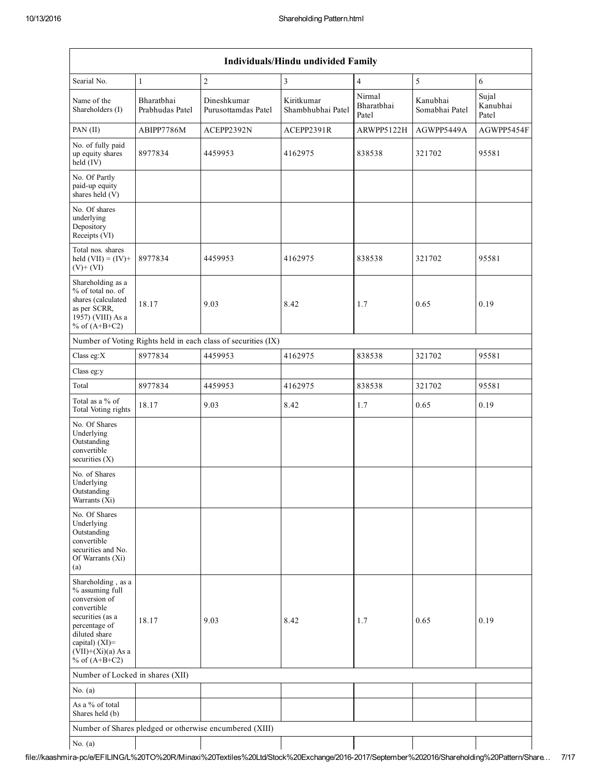| Individuals/Hindu undivided Family                                                                                                                                                       |                               |                                                               |                                 |                               |                            |                            |  |  |  |
|------------------------------------------------------------------------------------------------------------------------------------------------------------------------------------------|-------------------------------|---------------------------------------------------------------|---------------------------------|-------------------------------|----------------------------|----------------------------|--|--|--|
| Searial No.                                                                                                                                                                              | $\mathbf{1}$                  | $\overline{c}$                                                | 3                               | $\overline{4}$                | 5                          | 6                          |  |  |  |
| Name of the<br>Shareholders (I)                                                                                                                                                          | Bharathhai<br>Prabhudas Patel | Dineshkumar<br>Purusottamdas Patel                            | Kiritkumar<br>Shambhubhai Patel | Nirmal<br>Bharatbhai<br>Patel | Kanubhai<br>Somabhai Patel | Sujal<br>Kanubhai<br>Patel |  |  |  |
| PAN (II)                                                                                                                                                                                 | ABIPP7786M                    | ACEPP2392N                                                    | ACEPP2391R                      | ARWPP5122H                    | AGWPP5449A                 | AGWPP5454F                 |  |  |  |
| No. of fully paid<br>up equity shares<br>held (IV)                                                                                                                                       | 8977834                       | 4459953                                                       | 4162975                         | 838538                        | 321702                     | 95581                      |  |  |  |
| No. Of Partly<br>paid-up equity<br>shares held (V)                                                                                                                                       |                               |                                                               |                                 |                               |                            |                            |  |  |  |
| No. Of shares<br>underlying<br>Depository<br>Receipts (VI)                                                                                                                               |                               |                                                               |                                 |                               |                            |                            |  |  |  |
| Total nos. shares<br>held $(VII) = (IV) +$<br>$(V)+(VI)$                                                                                                                                 | 8977834                       | 4459953                                                       | 4162975                         | 838538                        | 321702                     | 95581                      |  |  |  |
| Shareholding as a<br>% of total no. of<br>shares (calculated<br>as per SCRR,<br>1957) (VIII) As a<br>% of $(A+B+C2)$                                                                     | 18.17                         | 9.03                                                          | 8.42                            | 1.7                           | 0.65                       | 0.19                       |  |  |  |
|                                                                                                                                                                                          |                               | Number of Voting Rights held in each class of securities (IX) |                                 |                               |                            |                            |  |  |  |
| Class eg: $X$                                                                                                                                                                            | 8977834                       | 4459953                                                       | 4162975                         | 838538                        | 321702                     | 95581                      |  |  |  |
| Class eg:y                                                                                                                                                                               |                               |                                                               |                                 |                               |                            |                            |  |  |  |
| Total                                                                                                                                                                                    | 8977834                       | 4459953                                                       | 4162975                         | 838538                        | 321702                     | 95581                      |  |  |  |
| Total as a % of<br>Total Voting rights                                                                                                                                                   | 18.17                         | 9.03                                                          | 8.42                            | 1.7                           | 0.65                       | 0.19                       |  |  |  |
| No. Of Shares<br>Underlying<br>Outstanding<br>convertible<br>securities $(X)$                                                                                                            |                               |                                                               |                                 |                               |                            |                            |  |  |  |
| No. of Shares<br>Underlying<br>Outstanding<br>Warrants (Xi)                                                                                                                              |                               |                                                               |                                 |                               |                            |                            |  |  |  |
| No. Of Shares<br>Underlying<br>Outstanding<br>convertible<br>securities and No.<br>Of Warrants (Xi)<br>(a)                                                                               |                               |                                                               |                                 |                               |                            |                            |  |  |  |
| Shareholding, as a<br>% assuming full<br>conversion of<br>convertible<br>securities (as a<br>percentage of<br>diluted share<br>capital) (XI)=<br>$(VII)+(Xi)(a)$ As a<br>% of $(A+B+C2)$ | 18.17                         | 9.03                                                          | 8.42                            | 1.7                           | 0.65                       | 0.19                       |  |  |  |
| Number of Locked in shares (XII)                                                                                                                                                         |                               |                                                               |                                 |                               |                            |                            |  |  |  |
| No. $(a)$                                                                                                                                                                                |                               |                                                               |                                 |                               |                            |                            |  |  |  |
| As a % of total<br>Shares held (b)                                                                                                                                                       |                               |                                                               |                                 |                               |                            |                            |  |  |  |
|                                                                                                                                                                                          |                               | Number of Shares pledged or otherwise encumbered (XIII)       |                                 |                               |                            |                            |  |  |  |
| No. $(a)$                                                                                                                                                                                |                               |                                                               |                                 |                               |                            |                            |  |  |  |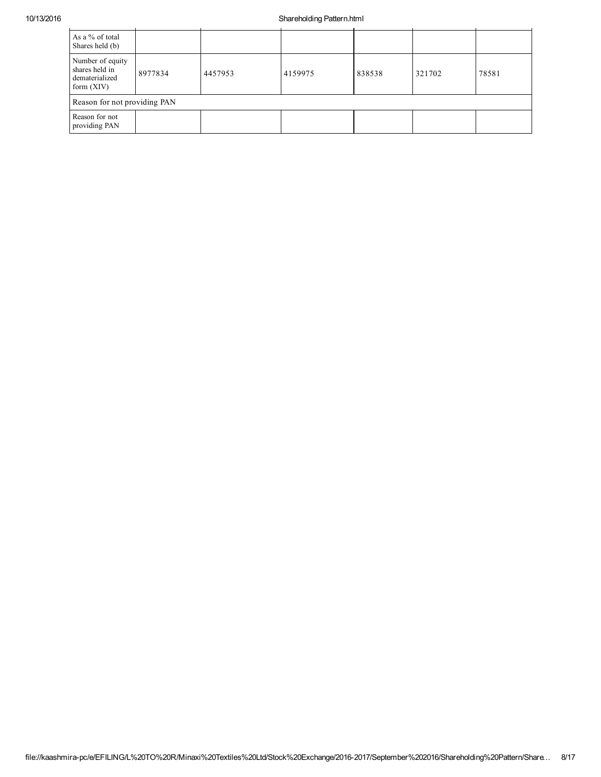## 10/13/2016 Shareholding Pattern.html

| As a % of total<br>Shares held (b)                                   |                              |         |         |        |        |       |  |  |  |
|----------------------------------------------------------------------|------------------------------|---------|---------|--------|--------|-------|--|--|--|
| Number of equity<br>shares held in<br>dematerialized<br>form $(XIV)$ | 8977834                      | 4457953 | 4159975 | 838538 | 321702 | 78581 |  |  |  |
|                                                                      | Reason for not providing PAN |         |         |        |        |       |  |  |  |
| Reason for not<br>providing PAN                                      |                              |         |         |        |        |       |  |  |  |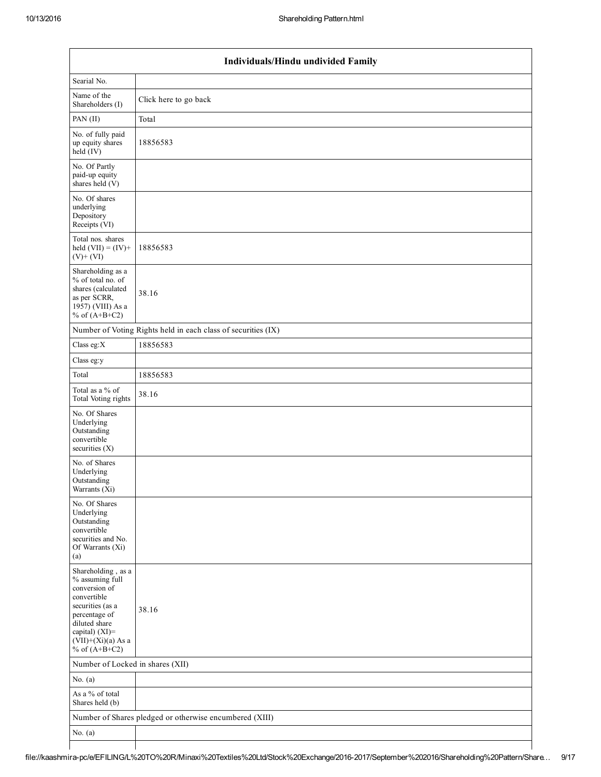$\mathsf{l}$ 

|                                                                                                                                                                                          | Individuals/Hindu undivided Family                            |  |  |  |  |  |  |  |
|------------------------------------------------------------------------------------------------------------------------------------------------------------------------------------------|---------------------------------------------------------------|--|--|--|--|--|--|--|
| Searial No.                                                                                                                                                                              |                                                               |  |  |  |  |  |  |  |
| Name of the<br>Shareholders (I)                                                                                                                                                          | Click here to go back                                         |  |  |  |  |  |  |  |
| PAN (II)                                                                                                                                                                                 | Total                                                         |  |  |  |  |  |  |  |
| No. of fully paid<br>up equity shares<br>$\text{held}(\text{IV})$                                                                                                                        | 18856583                                                      |  |  |  |  |  |  |  |
| No. Of Partly<br>paid-up equity<br>shares held (V)                                                                                                                                       |                                                               |  |  |  |  |  |  |  |
| No. Of shares<br>underlying<br>Depository<br>Receipts (VI)                                                                                                                               |                                                               |  |  |  |  |  |  |  |
| Total nos. shares<br>held $(VII) = (IV) +$<br>$(V) + (VI)$                                                                                                                               | 18856583                                                      |  |  |  |  |  |  |  |
| Shareholding as a<br>% of total no. of<br>shares (calculated<br>as per SCRR,<br>1957) (VIII) As a<br>% of $(A+B+C2)$                                                                     | 38.16                                                         |  |  |  |  |  |  |  |
|                                                                                                                                                                                          | Number of Voting Rights held in each class of securities (IX) |  |  |  |  |  |  |  |
| Class eg:X                                                                                                                                                                               | 18856583                                                      |  |  |  |  |  |  |  |
| Class eg:y                                                                                                                                                                               |                                                               |  |  |  |  |  |  |  |
| Total                                                                                                                                                                                    | 18856583                                                      |  |  |  |  |  |  |  |
| Total as a % of<br>Total Voting rights                                                                                                                                                   | 38.16                                                         |  |  |  |  |  |  |  |
| No. Of Shares<br>Underlying<br>Outstanding<br>convertible<br>securities $(X)$                                                                                                            |                                                               |  |  |  |  |  |  |  |
| No. of Shares<br>Underlying<br>Outstanding<br>Warrants (Xi)                                                                                                                              |                                                               |  |  |  |  |  |  |  |
| No. Of Shares<br>Underlying<br>Outstanding<br>convertible<br>securities and No.<br>Of Warrants (Xi)<br>(a)                                                                               |                                                               |  |  |  |  |  |  |  |
| Shareholding, as a<br>% assuming full<br>conversion of<br>convertible<br>securities (as a<br>percentage of<br>diluted share<br>capital) (XI)=<br>$(VII)+(Xi)(a)$ As a<br>% of $(A+B+C2)$ | 38.16                                                         |  |  |  |  |  |  |  |
| Number of Locked in shares (XII)                                                                                                                                                         |                                                               |  |  |  |  |  |  |  |
| No. $(a)$                                                                                                                                                                                |                                                               |  |  |  |  |  |  |  |
| As a % of total<br>Shares held (b)                                                                                                                                                       |                                                               |  |  |  |  |  |  |  |
|                                                                                                                                                                                          | Number of Shares pledged or otherwise encumbered (XIII)       |  |  |  |  |  |  |  |
| No. $(a)$                                                                                                                                                                                |                                                               |  |  |  |  |  |  |  |
|                                                                                                                                                                                          |                                                               |  |  |  |  |  |  |  |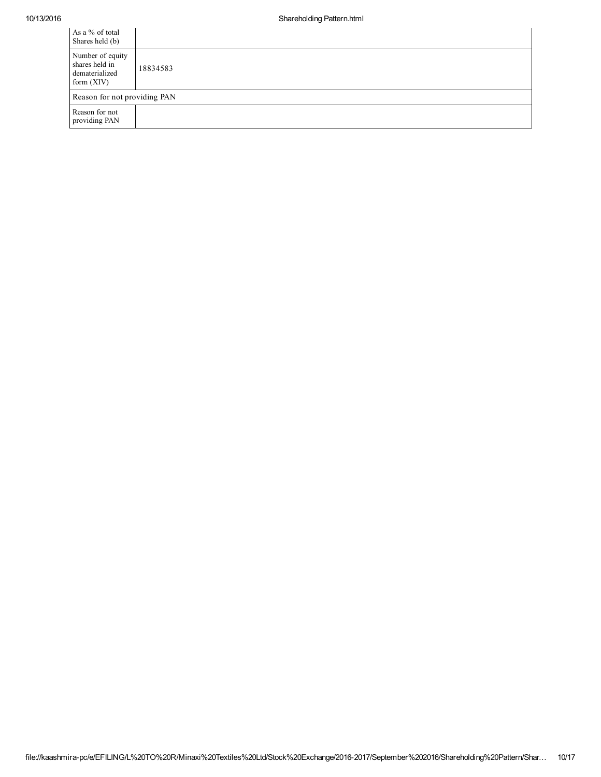| As a % of total<br>Shares held (b)                                   |          |
|----------------------------------------------------------------------|----------|
| Number of equity<br>shares held in<br>dematerialized<br>form $(XIV)$ | 18834583 |
| Reason for not providing PAN                                         |          |
| Reason for not<br>providing PAN                                      |          |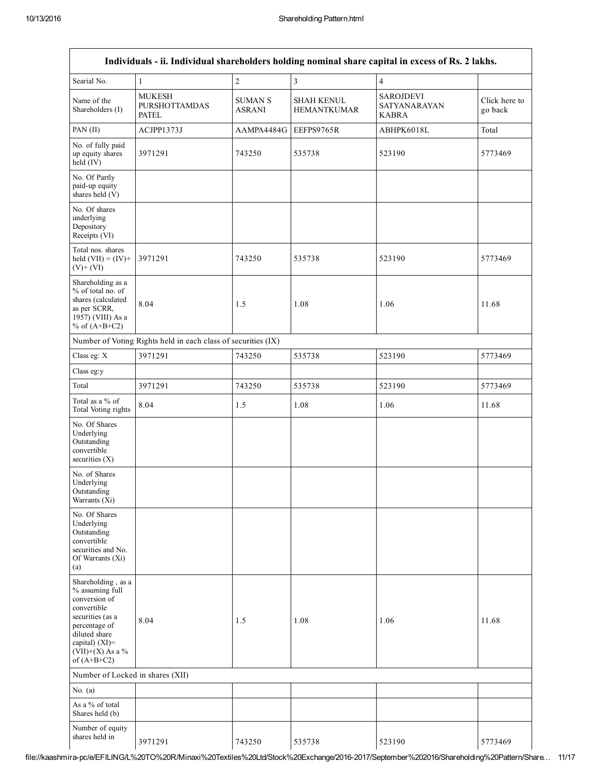|                                                                                                                                                                                         |                                                               |                                 |                                         | Individuals - ii. Individual shareholders holding nominal share capital in excess of Rs. 2 lakhs. |                          |
|-----------------------------------------------------------------------------------------------------------------------------------------------------------------------------------------|---------------------------------------------------------------|---------------------------------|-----------------------------------------|---------------------------------------------------------------------------------------------------|--------------------------|
| Searial No.                                                                                                                                                                             | $\mathbf{1}$                                                  | $\overline{c}$                  | $\overline{\mathbf{3}}$                 | $\overline{4}$                                                                                    |                          |
| Name of the<br>Shareholders (I)                                                                                                                                                         | <b>MUKESH</b><br><b>PURSHOTTAMDAS</b><br><b>PATEL</b>         | <b>SUMAN S</b><br><b>ASRANI</b> | <b>SHAH KENUL</b><br><b>HEMANTKUMAR</b> | <b>SAROJDEVI</b><br>SATYANARAYAN<br><b>KABRA</b>                                                  | Click here to<br>go back |
| PAN (II)                                                                                                                                                                                | ACJPP1373J                                                    | AAMPA4484G                      | EEFPS9765R                              | ABHPK6018L                                                                                        | Total                    |
| No. of fully paid<br>up equity shares<br>held (IV)                                                                                                                                      | 3971291                                                       | 743250                          | 535738                                  | 523190                                                                                            | 5773469                  |
| No. Of Partly<br>paid-up equity<br>shares held (V)                                                                                                                                      |                                                               |                                 |                                         |                                                                                                   |                          |
| No. Of shares<br>underlying<br>Depository<br>Receipts (VI)                                                                                                                              |                                                               |                                 |                                         |                                                                                                   |                          |
| Total nos. shares<br>held $(VII) = (IV) +$<br>$(V)+(VI)$                                                                                                                                | 3971291                                                       | 743250                          | 535738                                  | 523190                                                                                            | 5773469                  |
| Shareholding as a<br>% of total no. of<br>shares (calculated<br>as per SCRR,<br>1957) (VIII) As a<br>% of $(A+B+C2)$                                                                    | 8.04                                                          | 1.5                             | 1.08                                    | 1.06                                                                                              | 11.68                    |
|                                                                                                                                                                                         | Number of Voting Rights held in each class of securities (IX) |                                 |                                         |                                                                                                   |                          |
| Class eg: X                                                                                                                                                                             | 3971291                                                       | 743250                          | 535738                                  | 523190                                                                                            | 5773469                  |
| Class eg:y                                                                                                                                                                              |                                                               |                                 |                                         |                                                                                                   |                          |
| Total                                                                                                                                                                                   | 3971291                                                       | 743250                          | 535738                                  | 523190                                                                                            | 5773469                  |
| Total as a % of<br>Total Voting rights                                                                                                                                                  | 8.04                                                          | 1.5                             | 1.08                                    | 1.06                                                                                              | 11.68                    |
| No. Of Shares<br>Underlying<br>Outstanding<br>convertible<br>securities $(X)$                                                                                                           |                                                               |                                 |                                         |                                                                                                   |                          |
| No. of Shares<br>Underlying<br>Outstanding<br>Warrants (Xi)                                                                                                                             |                                                               |                                 |                                         |                                                                                                   |                          |
| No. Of Shares<br>Underlying<br>Outstanding<br>convertible<br>securities and No.<br>Of Warrants (Xi)<br>(a)                                                                              |                                                               |                                 |                                         |                                                                                                   |                          |
| Shareholding, as a<br>% assuming full<br>conversion of<br>convertible<br>securities (as a<br>percentage of<br>diluted share<br>capital) $(XI)$ =<br>$(VII)+(X)$ As a %<br>of $(A+B+C2)$ | 8.04                                                          | 1.5                             | 1.08                                    | 1.06                                                                                              | 11.68                    |
| Number of Locked in shares (XII)                                                                                                                                                        |                                                               |                                 |                                         |                                                                                                   |                          |
| No. $(a)$                                                                                                                                                                               |                                                               |                                 |                                         |                                                                                                   |                          |
| As a % of total<br>Shares held (b)                                                                                                                                                      |                                                               |                                 |                                         |                                                                                                   |                          |
| Number of equity<br>shares held in                                                                                                                                                      | 3971291                                                       | 743250                          | 535738                                  | 523190                                                                                            | 5773469                  |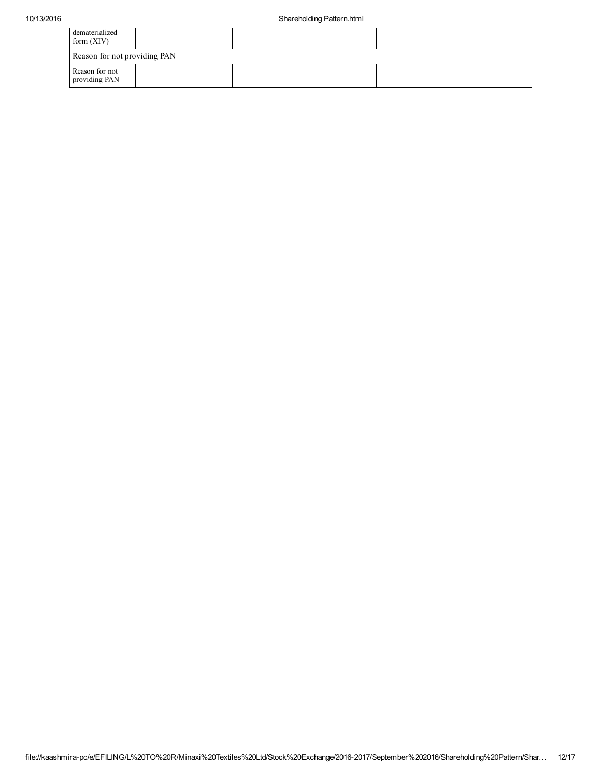| dematerialized<br>form $(XIV)$  |  |  |  |
|---------------------------------|--|--|--|
| Reason for not providing PAN    |  |  |  |
| Reason for not<br>providing PAN |  |  |  |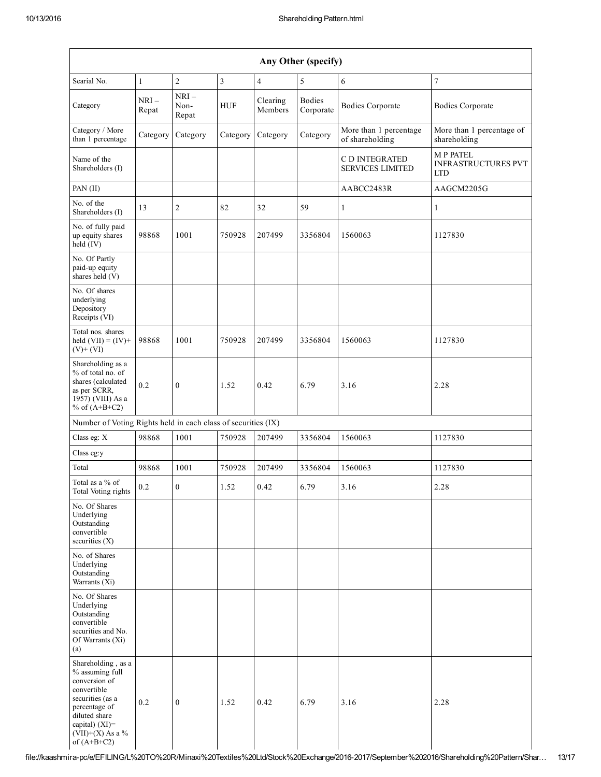| Any Other (specify)                                                                                                                                                                  |                  |                         |                |                     |                            |                                           |                                                             |
|--------------------------------------------------------------------------------------------------------------------------------------------------------------------------------------|------------------|-------------------------|----------------|---------------------|----------------------------|-------------------------------------------|-------------------------------------------------------------|
| Searial No.                                                                                                                                                                          | $\mathbf{1}$     | $\overline{2}$          | $\overline{3}$ | $\overline{4}$      | 5                          | 6                                         | $\overline{7}$                                              |
| Category                                                                                                                                                                             | $NRI -$<br>Repat | $NRI-$<br>Non-<br>Repat | <b>HUF</b>     | Clearing<br>Members | <b>Bodies</b><br>Corporate | <b>Bodies Corporate</b>                   | <b>Bodies Corporate</b>                                     |
| Category / More<br>than 1 percentage                                                                                                                                                 | Category         | Category                | Category       | Category            | Category                   | More than 1 percentage<br>of shareholding | More than 1 percentage of<br>shareholding                   |
| Name of the<br>Shareholders (I)                                                                                                                                                      |                  |                         |                |                     |                            | C D INTEGRATED<br><b>SERVICES LIMITED</b> | <b>MP PATEL</b><br><b>INFRASTRUCTURES PVT</b><br><b>LTD</b> |
| PAN (II)                                                                                                                                                                             |                  |                         |                |                     |                            | AABCC2483R                                | AAGCM2205G                                                  |
| No. of the<br>Shareholders (I)                                                                                                                                                       | 13               | $\overline{c}$          | 82             | 32                  | 59                         | 1                                         | 1                                                           |
| No. of fully paid<br>up equity shares<br>held (IV)                                                                                                                                   | 98868            | 1001                    | 750928         | 207499              | 3356804                    | 1560063                                   | 1127830                                                     |
| No. Of Partly<br>paid-up equity<br>shares held (V)                                                                                                                                   |                  |                         |                |                     |                            |                                           |                                                             |
| No. Of shares<br>underlying<br>Depository<br>Receipts (VI)                                                                                                                           |                  |                         |                |                     |                            |                                           |                                                             |
| Total nos. shares<br>held $(VII) = (IV) +$<br>$(V)+(VI)$                                                                                                                             | 98868            | 1001                    | 750928         | 207499              | 3356804                    | 1560063                                   | 1127830                                                     |
| Shareholding as a<br>% of total no. of<br>shares (calculated<br>as per SCRR,<br>1957) (VIII) As a<br>% of $(A+B+C2)$                                                                 | 0.2              | $\mathbf{0}$            | 1.52           | 0.42                | 6.79                       | 3.16                                      | 2.28                                                        |
| Number of Voting Rights held in each class of securities (IX)                                                                                                                        |                  |                         |                |                     |                            |                                           |                                                             |
| Class eg: X                                                                                                                                                                          | 98868            | 1001                    | 750928         | 207499              | 3356804                    | 1560063                                   | 1127830                                                     |
| Class eg:y                                                                                                                                                                           |                  |                         |                |                     |                            |                                           |                                                             |
| Total                                                                                                                                                                                | 98868            | 1001                    | 750928         | 207499              | 3356804                    | 1560063                                   | 1127830                                                     |
| Total as a % of<br>Total Voting rights                                                                                                                                               | 0.2              | $\mathbf{0}$            | 1.52           | 0.42                | 6.79                       | 3.16                                      | 2.28                                                        |
| No. Of Shares<br>Underlying<br>Outstanding<br>convertible<br>securities (X)                                                                                                          |                  |                         |                |                     |                            |                                           |                                                             |
| No. of Shares<br>Underlying<br>Outstanding<br>Warrants (Xi)                                                                                                                          |                  |                         |                |                     |                            |                                           |                                                             |
| No. Of Shares<br>Underlying<br>Outstanding<br>convertible<br>securities and No.<br>Of Warrants (Xi)<br>(a)                                                                           |                  |                         |                |                     |                            |                                           |                                                             |
| Shareholding, as a<br>% assuming full<br>conversion of<br>convertible<br>securities (as a<br>percentage of<br>diluted share<br>capital) (XI)=<br>$(VII)+(X)$ As a %<br>of $(A+B+C2)$ | 0.2              | $\boldsymbol{0}$        | 1.52           | 0.42                | 6.79                       | 3.16                                      | 2.28                                                        |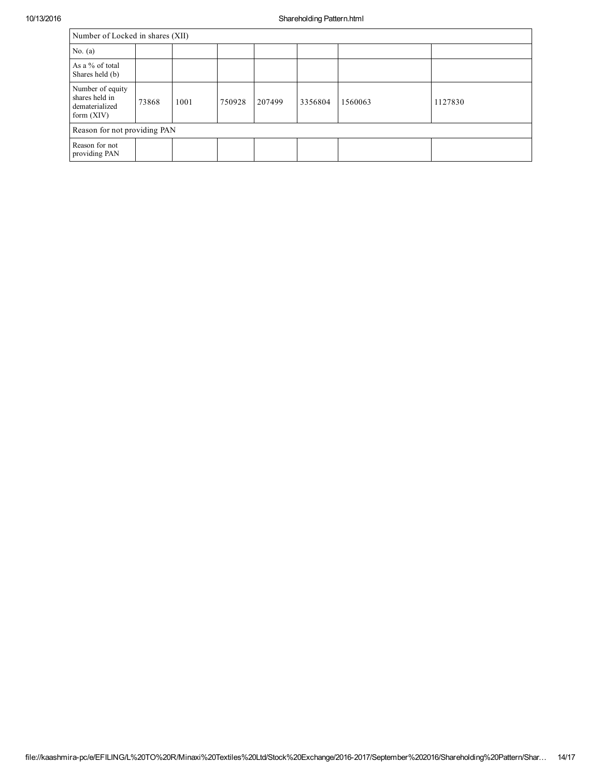| Number of Locked in shares (XII)                                     |       |      |        |        |         |         |         |
|----------------------------------------------------------------------|-------|------|--------|--------|---------|---------|---------|
| No. $(a)$                                                            |       |      |        |        |         |         |         |
| As a % of total<br>Shares held (b)                                   |       |      |        |        |         |         |         |
| Number of equity<br>shares held in<br>dematerialized<br>form $(XIV)$ | 73868 | 1001 | 750928 | 207499 | 3356804 | 1560063 | 1127830 |
| Reason for not providing PAN                                         |       |      |        |        |         |         |         |
| Reason for not<br>providing PAN                                      |       |      |        |        |         |         |         |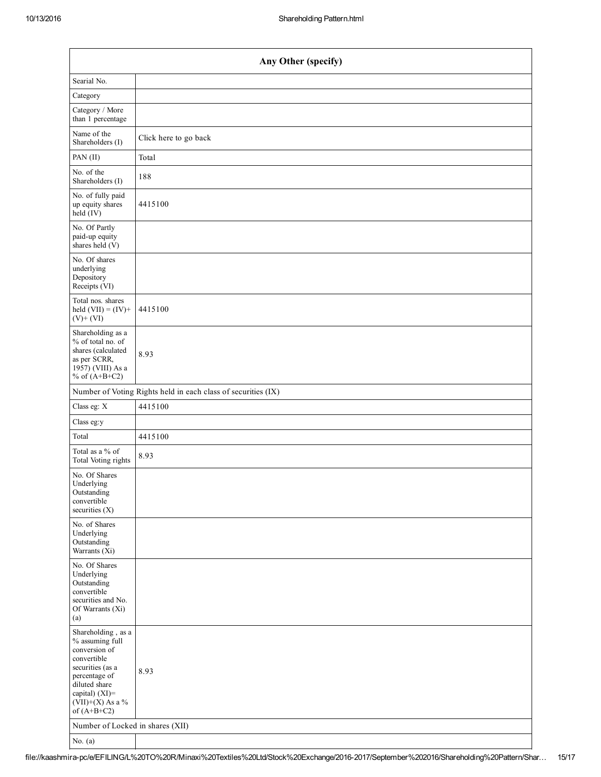| Any Other (specify)                                                                                                                                                                  |                                                               |  |  |  |  |  |  |
|--------------------------------------------------------------------------------------------------------------------------------------------------------------------------------------|---------------------------------------------------------------|--|--|--|--|--|--|
| Searial No.                                                                                                                                                                          |                                                               |  |  |  |  |  |  |
| Category                                                                                                                                                                             |                                                               |  |  |  |  |  |  |
| Category / More<br>than 1 percentage                                                                                                                                                 |                                                               |  |  |  |  |  |  |
| Name of the<br>Shareholders (I)                                                                                                                                                      | Click here to go back                                         |  |  |  |  |  |  |
| PAN (II)                                                                                                                                                                             | Total                                                         |  |  |  |  |  |  |
| No. of the<br>Shareholders (I)                                                                                                                                                       | 188                                                           |  |  |  |  |  |  |
| No. of fully paid<br>up equity shares<br>$\text{held}(\text{IV})$                                                                                                                    | 4415100                                                       |  |  |  |  |  |  |
| No. Of Partly<br>paid-up equity<br>shares held $(V)$                                                                                                                                 |                                                               |  |  |  |  |  |  |
| No. Of shares<br>underlying<br>Depository<br>Receipts (VI)                                                                                                                           |                                                               |  |  |  |  |  |  |
| Total nos. shares<br>held $(VII) = (IV) +$<br>$(V)$ + $(VI)$                                                                                                                         | 4415100                                                       |  |  |  |  |  |  |
| Shareholding as a<br>% of total no. of<br>shares (calculated<br>as per SCRR,<br>1957) (VIII) As a<br>% of $(A+B+C2)$                                                                 | 8.93                                                          |  |  |  |  |  |  |
|                                                                                                                                                                                      | Number of Voting Rights held in each class of securities (IX) |  |  |  |  |  |  |
| Class eg: X                                                                                                                                                                          | 4415100                                                       |  |  |  |  |  |  |
| Class eg:y                                                                                                                                                                           |                                                               |  |  |  |  |  |  |
| Total                                                                                                                                                                                | 4415100                                                       |  |  |  |  |  |  |
| Total as a % of<br>Total Voting rights                                                                                                                                               | 8.93                                                          |  |  |  |  |  |  |
| No. Of Shares<br>Underlying<br>Outstanding<br>convertible<br>securities $(X)$                                                                                                        |                                                               |  |  |  |  |  |  |
| No. of Shares<br>Underlying<br>Outstanding<br>Warrants $(Xi)$                                                                                                                        |                                                               |  |  |  |  |  |  |
| No. Of Shares<br>Underlying<br>Outstanding<br>convertible<br>securities and No.<br>Of Warrants (Xi)<br>(a)                                                                           |                                                               |  |  |  |  |  |  |
| Shareholding, as a<br>% assuming full<br>conversion of<br>convertible<br>securities (as a<br>percentage of<br>diluted share<br>capital) (XI)=<br>$(VII)+(X)$ As a %<br>of $(A+B+C2)$ | 8.93                                                          |  |  |  |  |  |  |
| Number of Locked in shares (XII)                                                                                                                                                     |                                                               |  |  |  |  |  |  |
| No. $(a)$                                                                                                                                                                            |                                                               |  |  |  |  |  |  |